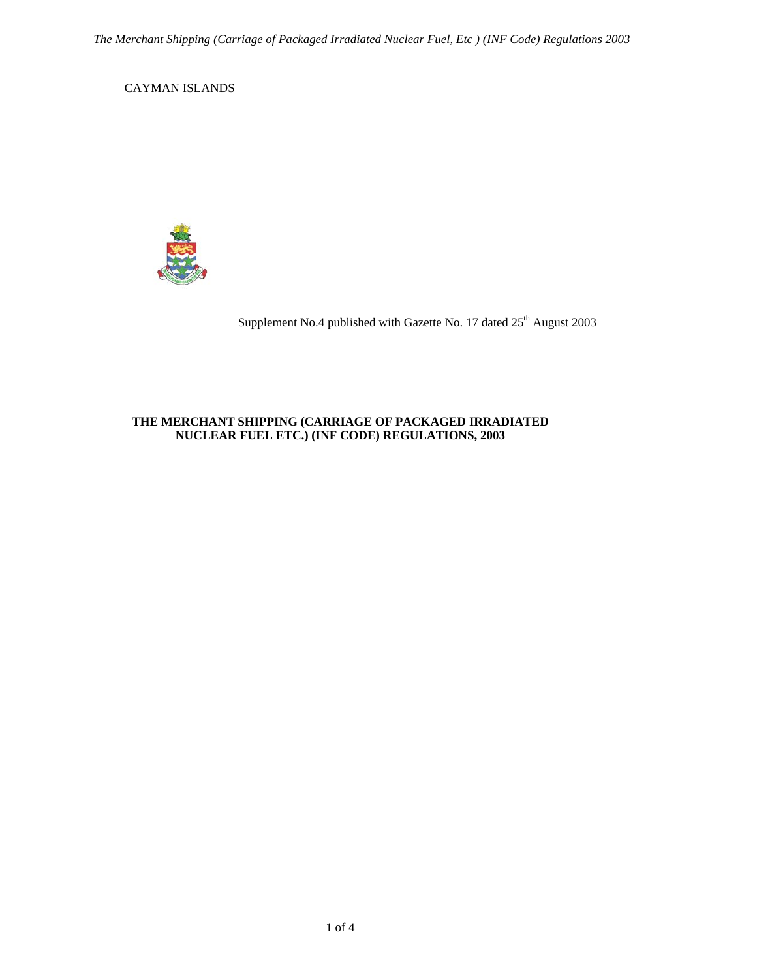CAYMAN ISLANDS



Supplement No.4 published with Gazette No. 17 dated 25<sup>th</sup> August 2003

## **THE MERCHANT SHIPPING (CARRIAGE OF PACKAGED IRRADIATED NUCLEAR FUEL ETC.) (INF CODE) REGULATIONS, 2003**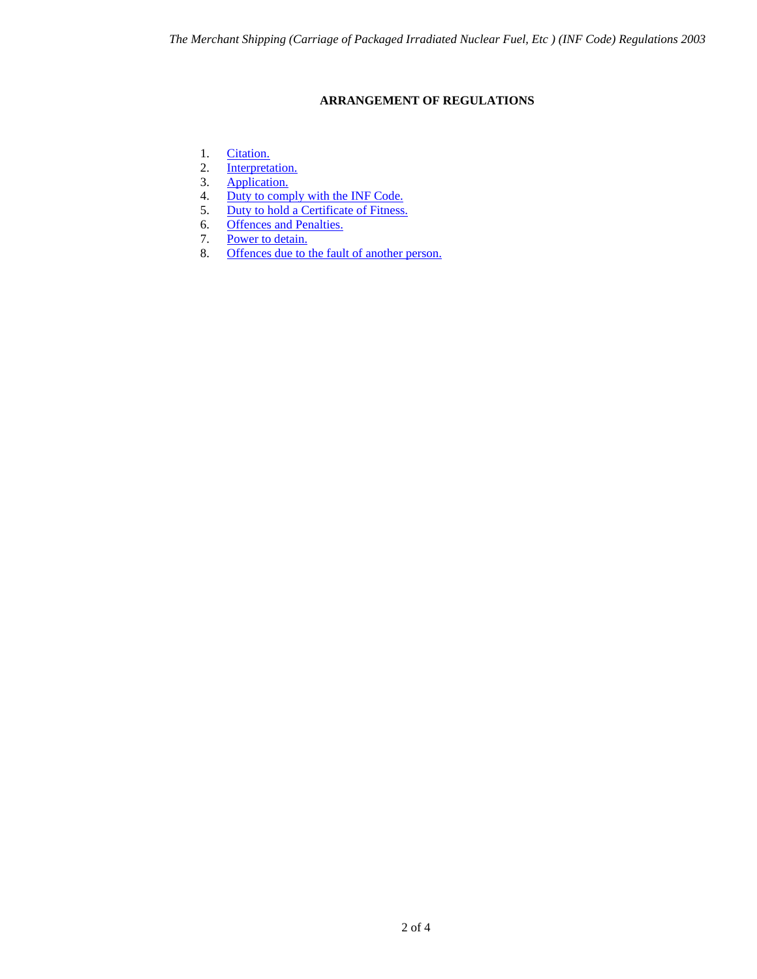# **ARRANGEMENT OF REGULATIONS**

- <span id="page-1-0"></span>1. [Citation.](#page-2-0)
- 2. [Interpretation.](#page-2-1)<br>3. Application.
- [Application.](#page-2-2)
- 4. [Duty to comply with the INF Code.](#page-2-3)
- 5. [Duty to hold a Certificate of Fitness.](#page-3-0)
- 6. <u>[Offences and Penalties.](#page-3-1)</u><br>7. <u>Power to detain.</u>
- 7. [Power to detain.](#page-3-2)<br>8. Offences due to t
- [Offences due to the fault of another person.](#page-3-3)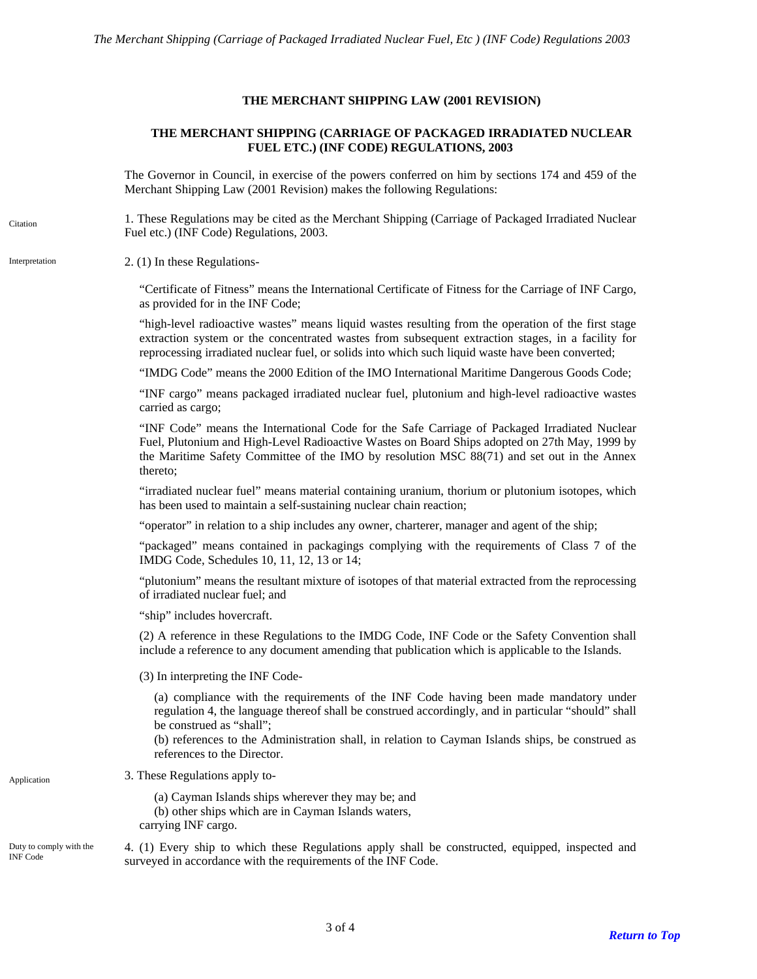### **THE MERCHANT SHIPPING LAW (2001 REVISION)**

## **THE MERCHANT SHIPPING (CARRIAGE OF PACKAGED IRRADIATED NUCLEAR FUEL ETC.) (INF CODE) REGULATIONS, 2003**

The Governor in Council, in exercise of the powers conferred on him by sections 174 and 459 of the Merchant Shipping Law (2001 Revision) makes the following Regulations:

1. These Regulations may be cited as the Merchant Shipping (Carriage of Packaged Irradiated Nuclear Fuel etc.) (INF Code) Regulations, 2003.

#### <span id="page-2-1"></span>Interpretation 2. (1) In these Regulations-

<span id="page-2-0"></span>Citation

"Certificate of Fitness" means the International Certificate of Fitness for the Carriage of INF Cargo, as provided for in the INF Code;

"high-level radioactive wastes" means liquid wastes resulting from the operation of the first stage extraction system or the concentrated wastes from subsequent extraction stages, in a facility for reprocessing irradiated nuclear fuel, or solids into which such liquid waste have been converted;

"IMDG Code" means the 2000 Edition of the IMO International Maritime Dangerous Goods Code;

"INF cargo" means packaged irradiated nuclear fuel, plutonium and high-level radioactive wastes carried as cargo;

"INF Code" means the International Code for the Safe Carriage of Packaged Irradiated Nuclear Fuel, Plutonium and High-Level Radioactive Wastes on Board Ships adopted on 27th May, 1999 by the Maritime Safety Committee of the IMO by resolution MSC 88(71) and set out in the Annex thereto;

"irradiated nuclear fuel" means material containing uranium, thorium or plutonium isotopes, which has been used to maintain a self-sustaining nuclear chain reaction;

"operator" in relation to a ship includes any owner, charterer, manager and agent of the ship;

"packaged" means contained in packagings complying with the requirements of Class 7 of the IMDG Code, Schedules 10, 11, 12, 13 or 14;

"plutonium" means the resultant mixture of isotopes of that material extracted from the reprocessing of irradiated nuclear fuel; and

"ship" includes hovercraft.

(2) A reference in these Regulations to the IMDG Code, INF Code or the Safety Convention shall include a reference to any document amending that publication which is applicable to the Islands.

(3) In interpreting the INF Code-

(a) compliance with the requirements of the INF Code having been made mandatory under regulation 4, the language thereof shall be construed accordingly, and in particular "should" shall be construed as "shall";

(b) references to the Administration shall, in relation to Cayman Islands ships, be construed as references to the Director.

<span id="page-2-2"></span>Application 3. These Regulations apply to-

(a) Cayman Islands ships wherever they may be; and (b) other ships which are in Cayman Islands waters, carrying INF cargo.

<span id="page-2-3"></span>Duty to comply with the INF Code

4. (1) Every ship to which these Regulations apply shall be constructed, equipped, inspected and surveyed in accordance with the requirements of the INF Code.